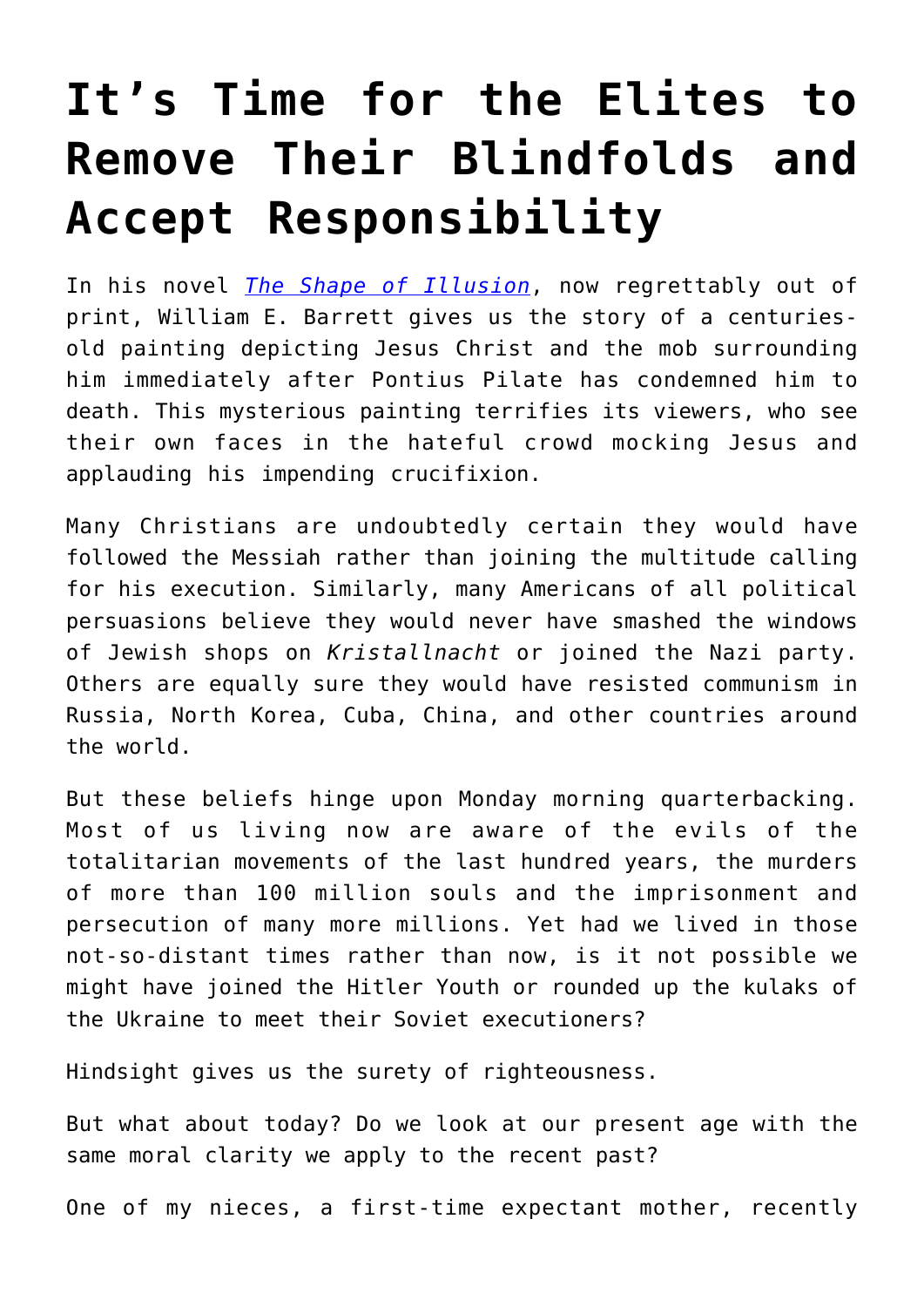## **[It's Time for the Elites to](https://intellectualtakeout.org/2022/06/its-time-for-the-elites-to-remove-their-blindfolds-and-accept-responsibility/) [Remove Their Blindfolds and](https://intellectualtakeout.org/2022/06/its-time-for-the-elites-to-remove-their-blindfolds-and-accept-responsibility/) [Accept Responsibility](https://intellectualtakeout.org/2022/06/its-time-for-the-elites-to-remove-their-blindfolds-and-accept-responsibility/)**

In his novel *[The Shape of Illusion](https://www.amazon.com/Shape-Illusion-William-Barrett/dp/B001POTATW)*, now regrettably out of print, William E. Barrett gives us the story of a centuriesold painting depicting Jesus Christ and the mob surrounding him immediately after Pontius Pilate has condemned him to death. This mysterious painting terrifies its viewers, who see their own faces in the hateful crowd mocking Jesus and applauding his impending crucifixion.

Many Christians are undoubtedly certain they would have followed the Messiah rather than joining the multitude calling for his execution. Similarly, many Americans of all political persuasions believe they would never have smashed the windows of Jewish shops on *Kristallnacht* or joined the Nazi party. Others are equally sure they would have resisted communism in Russia, North Korea, Cuba, China, and other countries around the world.

But these beliefs hinge upon Monday morning quarterbacking. Most of us living now are aware of the evils of the totalitarian movements of the last hundred years, the murders of more than 100 million souls and the imprisonment and persecution of many more millions. Yet had we lived in those not-so-distant times rather than now, is it not possible we might have joined the Hitler Youth or rounded up the kulaks of the Ukraine to meet their Soviet executioners?

Hindsight gives us the surety of righteousness.

But what about today? Do we look at our present age with the same moral clarity we apply to the recent past?

One of my nieces, a first-time expectant mother, recently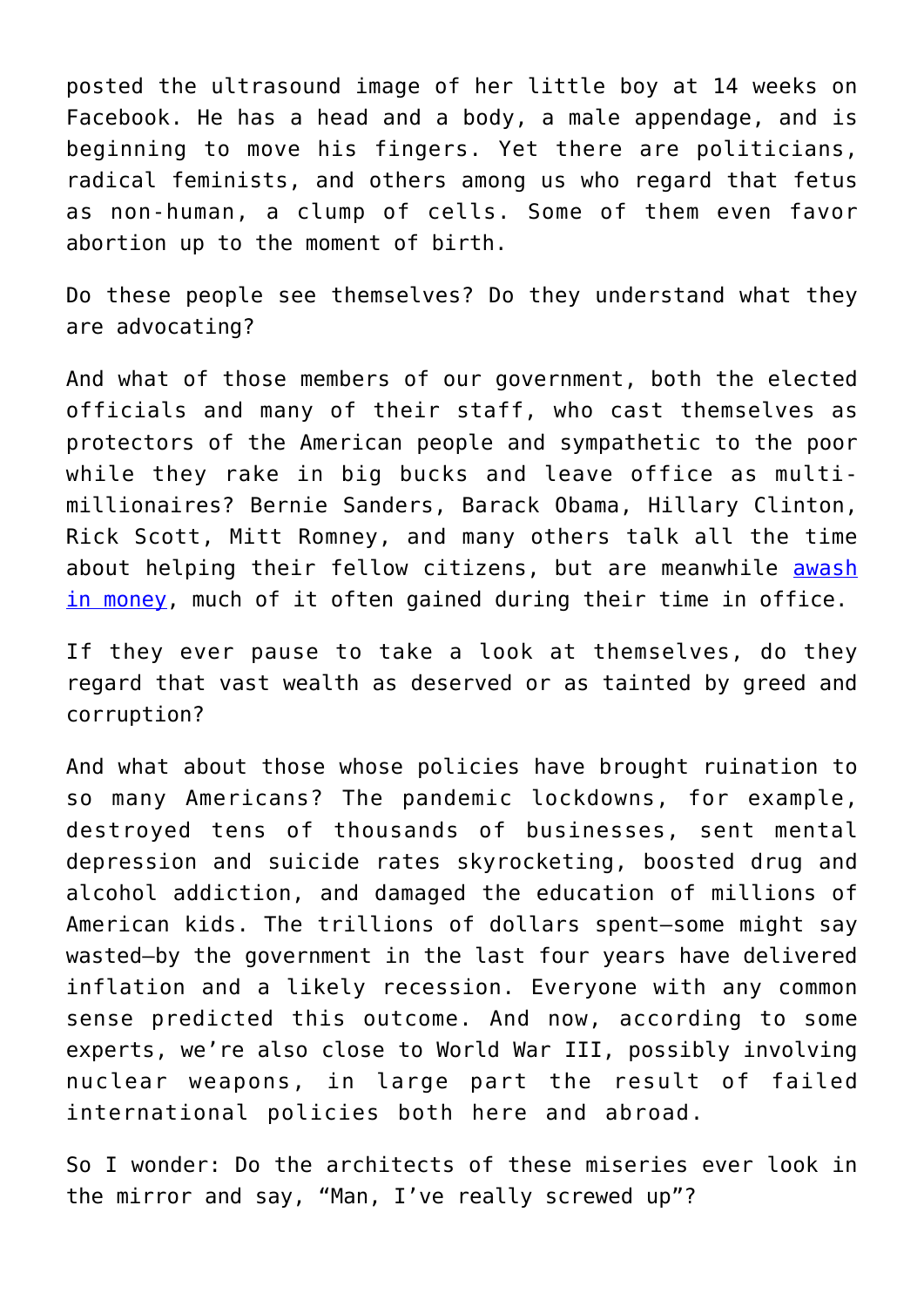posted the ultrasound image of her little boy at 14 weeks on Facebook. He has a head and a body, a male appendage, and is beginning to move his fingers. Yet there are politicians, radical feminists, and others among us who regard that fetus as non-human, a clump of cells. Some of them even favor abortion up to the moment of birth.

Do these people see themselves? Do they understand what they are advocating?

And what of those members of our government, both the elected officials and many of their staff, who cast themselves as protectors of the American people and sympathetic to the poor while they rake in big bucks and leave office as multimillionaires? Bernie Sanders, Barack Obama, Hillary Clinton, Rick Scott, Mitt Romney, and many others talk all the time about helping their fellow citizens, but are meanwhile [awash](https://www.opensecrets.org/news/2020/04/majority-of-lawmakers-millionaires/) [in money,](https://www.opensecrets.org/news/2020/04/majority-of-lawmakers-millionaires/) much of it often gained during their time in office.

If they ever pause to take a look at themselves, do they regard that vast wealth as deserved or as tainted by greed and corruption?

And what about those whose policies have brought ruination to so many Americans? The pandemic lockdowns, for example, destroyed tens of thousands of businesses, sent mental depression and suicide rates skyrocketing, boosted drug and alcohol addiction, and damaged the education of millions of American kids. The trillions of dollars spent—some might say wasted—by the government in the last four years have delivered inflation and a likely recession. Everyone with any common sense predicted this outcome. And now, according to some experts, we're also close to World War III, possibly involving nuclear weapons, in large part the result of failed international policies both here and abroad.

So I wonder: Do the architects of these miseries ever look in the mirror and say, "Man, I've really screwed up"?